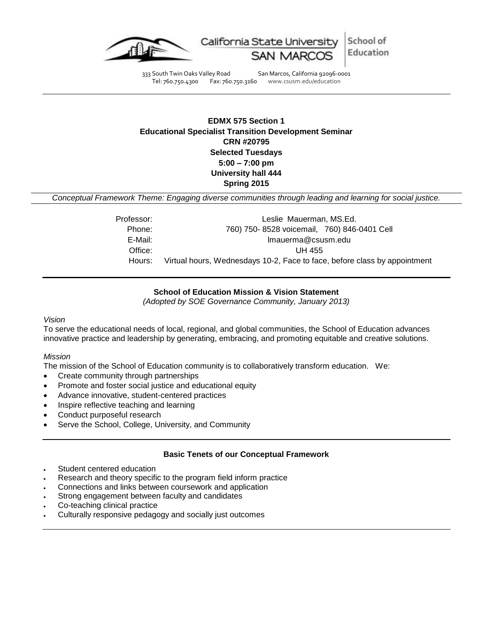

333 South Twin Oaks Valley Road San Marcos, California 92096-0001 Tel: 760.750.4300 Fax: 760.750.3160 www.csusm.edu/education

**EDMX 575 Section 1 Educational Specialist Transition Development Seminar CRN #20795 Selected Tuesdays 5:00 – 7:00 pm University hall 444** 

**Spring 2015** 

*Conceptual Framework Theme: Engaging diverse communities through leading and learning for social justice.*

| Professor: | Leslie Mauerman, MS.Ed.                                                   |
|------------|---------------------------------------------------------------------------|
| Phone:     | 760) 750-8528 voicemail, 760) 846-0401 Cell                               |
| E-Mail:    | Imauerma@csusm.edu                                                        |
| Office:    | UH 455                                                                    |
| Hours:     | Virtual hours, Wednesdays 10-2, Face to face, before class by appointment |

## **School of Education Mission & Vision Statement**

*(Adopted by SOE Governance Community, January 2013)*

## *Vision*

To serve the educational needs of local, regional, and global communities, the School of Education advances innovative practice and leadership by generating, embracing, and promoting equitable and creative solutions.

#### *Mission*

The mission of the School of Education community is to collaboratively transform education. We:

- Create community through partnerships
- Promote and foster social justice and educational equity
- Advance innovative, student-centered practices
- Inspire reflective teaching and learning
- Conduct purposeful research
- Serve the School, College, University, and Community

#### **Basic Tenets of our Conceptual Framework**

- Student centered education
- Research and theory specific to the program field inform practice
- Connections and links between coursework and application
- Strong engagement between faculty and candidates
- Co-teaching clinical practice
- Culturally responsive pedagogy and socially just outcomes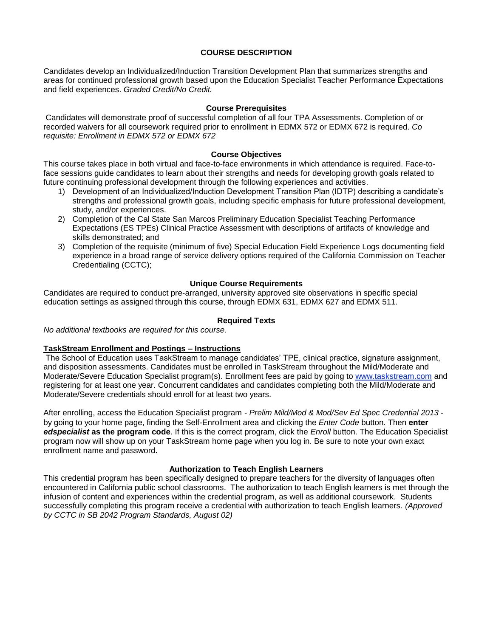## **COURSE DESCRIPTION**

Candidates develop an Individualized/Induction Transition Development Plan that summarizes strengths and areas for continued professional growth based upon the Education Specialist Teacher Performance Expectations and field experiences. *Graded Credit/No Credit.*

#### **Course Prerequisites**

Candidates will demonstrate proof of successful completion of all four TPA Assessments. Completion of or recorded waivers for all coursework required prior to enrollment in EDMX 572 or EDMX 672 is required. *Co requisite: Enrollment in EDMX 572 or EDMX 672*

#### **Course Objectives**

This course takes place in both virtual and face-to-face environments in which attendance is required. Face-toface sessions guide candidates to learn about their strengths and needs for developing growth goals related to future continuing professional development through the following experiences and activities.

- 1) Development of an Individualized/Induction Development Transition Plan (IDTP) describing a candidate's strengths and professional growth goals, including specific emphasis for future professional development, study, and/or experiences.
- 2) Completion of the Cal State San Marcos Preliminary Education Specialist Teaching Performance Expectations (ES TPEs) Clinical Practice Assessment with descriptions of artifacts of knowledge and skills demonstrated; and
- 3) Completion of the requisite (minimum of five) Special Education Field Experience Logs documenting field experience in a broad range of service delivery options required of the California Commission on Teacher Credentialing (CCTC);

# **Unique Course Requirements**

Candidates are required to conduct pre-arranged, university approved site observations in specific special education settings as assigned through this course, through EDMX 631, EDMX 627 and EDMX 511.

## **Required Texts**

*No additional textbooks are required for this course.*

# **TaskStream Enrollment and Postings – Instructions**

The School of Education uses TaskStream to manage candidates' TPE, clinical practice, signature assignment, and disposition assessments. Candidates must be enrolled in TaskStream throughout the Mild/Moderate and Moderate/Severe Education Specialist program(s). Enrollment fees are paid by going to [www.taskstream.com](https://bl2prd0510.outlook.com/owa/redir.aspx?C=BCCRQqSYiUGfF8D5o1hWda_4K252ddAIWfHJ-9hEDukuBafQrA7uFT9QzjT3BGXTnuKNALZtCyo.&URL=http%3a%2f%2fwww.taskstrem.com%2f) and registering for at least one year. Concurrent candidates and candidates completing both the Mild/Moderate and Moderate/Severe credentials should enroll for at least two years.

After enrolling, access the Education Specialist program - *Prelim Mild/Mod & Mod/Sev Ed Spec Credential 2013* by going to your home page, finding the Self-Enrollment area and clicking the *Enter Code* button. Then **enter**  *edspecialist* **as the program code**. If this is the correct program, click the *Enroll* button. The Education Specialist program now will show up on your TaskStream home page when you log in. Be sure to note your own exact enrollment name and password.

# **Authorization to Teach English Learners**

This credential program has been specifically designed to prepare teachers for the diversity of languages often encountered in California public school classrooms. The authorization to teach English learners is met through the infusion of content and experiences within the credential program, as well as additional coursework. Students successfully completing this program receive a credential with authorization to teach English learners. *(Approved by CCTC in SB 2042 Program Standards, August 02)*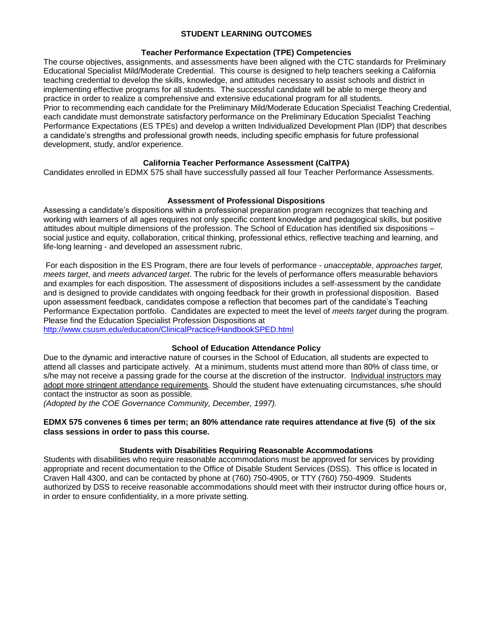## **STUDENT LEARNING OUTCOMES**

#### **Teacher Performance Expectation (TPE) Competencies**

The course objectives, assignments, and assessments have been aligned with the CTC standards for Preliminary Educational Specialist Mild/Moderate Credential. This course is designed to help teachers seeking a California teaching credential to develop the skills, knowledge, and attitudes necessary to assist schools and district in implementing effective programs for all students. The successful candidate will be able to merge theory and practice in order to realize a comprehensive and extensive educational program for all students. Prior to recommending each candidate for the Preliminary Mild/Moderate Education Specialist Teaching Credential, each candidate must demonstrate satisfactory performance on the Preliminary Education Specialist Teaching Performance Expectations (ES TPEs) and develop a written Individualized Development Plan (IDP) that describes a candidate's strengths and professional growth needs, including specific emphasis for future professional development, study, and/or experience.

# **California Teacher Performance Assessment (CalTPA)**

Candidates enrolled in EDMX 575 shall have successfully passed all four Teacher Performance Assessments.

# **Assessment of Professional Dispositions**

Assessing a candidate's dispositions within a professional preparation program recognizes that teaching and working with learners of all ages requires not only specific content knowledge and pedagogical skills, but positive attitudes about multiple dimensions of the profession. The School of Education has identified six dispositions – social justice and equity, collaboration, critical thinking, professional ethics, reflective teaching and learning, and life-long learning - and developed an assessment rubric.

For each disposition in the ES Program, there are four levels of performance - *unacceptable*, *approaches target, meets target*, and *meets advanced target*. The rubric for the levels of performance offers measurable behaviors and examples for each disposition. The assessment of dispositions includes a self-assessment by the candidate and is designed to provide candidates with ongoing feedback for their growth in professional disposition. Based upon assessment feedback, candidates compose a reflection that becomes part of the candidate's Teaching Performance Expectation portfolio. Candidates are expected to meet the level of *meets target* during the program. Please find the Education Specialist Profession Dispositions at

[http://www.csusm.edu/education/ClinicalPractice/HandbookSPED.html](https://bl2prd0510.outlook.com/owa/redir.aspx?C=BCCRQqSYiUGfF8D5o1hWda_4K252ddAIWfHJ-9hEDukuBafQrA7uFT9QzjT3BGXTnuKNALZtCyo.&URL=http%3a%2f%2fwww.csusm.edu%2feducation%2fClinicalPractice%2fHandbookSPED.html)

# **School of Education Attendance Policy**

Due to the dynamic and interactive nature of courses in the School of Education, all students are expected to attend all classes and participate actively. At a minimum, students must attend more than 80% of class time, or s/he may not receive a passing grade for the course at the discretion of the instructor. Individual instructors may adopt more stringent attendance requirements. Should the student have extenuating circumstances, s/he should contact the instructor as soon as possible.

*(Adopted by the COE Governance Community, December, 1997).*

### **EDMX 575 convenes 6 times per term; an 80% attendance rate requires attendance at five (5) of the six class sessions in order to pass this course.**

# **Students with Disabilities Requiring Reasonable Accommodations**

Students with disabilities who require reasonable accommodations must be approved for services by providing appropriate and recent documentation to the Office of Disable Student Services (DSS). This office is located in Craven Hall 4300, and can be contacted by phone at (760) 750-4905, or TTY (760) 750-4909. Students authorized by DSS to receive reasonable accommodations should meet with their instructor during office hours or, in order to ensure confidentiality, in a more private setting.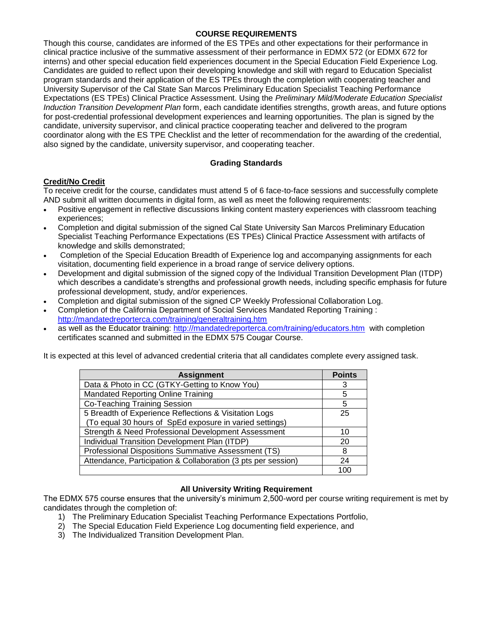## **COURSE REQUIREMENTS**

Though this course, candidates are informed of the ES TPEs and other expectations for their performance in clinical practice inclusive of the summative assessment of their performance in EDMX 572 (or EDMX 672 for interns) and other special education field experiences document in the Special Education Field Experience Log. Candidates are guided to reflect upon their developing knowledge and skill with regard to Education Specialist program standards and their application of the ES TPEs through the completion with cooperating teacher and University Supervisor of the Cal State San Marcos Preliminary Education Specialist Teaching Performance Expectations (ES TPEs) Clinical Practice Assessment. Using the *Preliminary Mild/Moderate Education Specialist Induction Transition Development Plan* form, each candidate identifies strengths, growth areas, and future options for post-credential professional development experiences and learning opportunities. The plan is signed by the candidate, university supervisor, and clinical practice cooperating teacher and delivered to the program coordinator along with the ES TPE Checklist and the letter of recommendation for the awarding of the credential, also signed by the candidate, university supervisor, and cooperating teacher.

# **Grading Standards**

# **Credit/No Credit**

To receive credit for the course, candidates must attend 5 of 6 face-to-face sessions and successfully complete AND submit all written documents in digital form, as well as meet the following requirements:

- Positive engagement in reflective discussions linking content mastery experiences with classroom teaching experiences;
- Completion and digital submission of the signed Cal State University San Marcos Preliminary Education Specialist Teaching Performance Expectations (ES TPEs) Clinical Practice Assessment with artifacts of knowledge and skills demonstrated;
- Completion of the Special Education Breadth of Experience log and accompanying assignments for each visitation, documenting field experience in a broad range of service delivery options.
- Development and digital submission of the signed copy of the Individual Transition Development Plan (ITDP) which describes a candidate's strengths and professional growth needs, including specific emphasis for future professional development, study, and/or experiences.
- Completion and digital submission of the signed CP Weekly Professional Collaboration Log.
- Completion of the California Department of Social Services Mandated Reporting Training : <http://mandatedreporterca.com/training/generaltraining.htm>
- as well as the Educator training:<http://mandatedreporterca.com/training/educators.htm>with completion certificates scanned and submitted in the EDMX 575 Cougar Course.

It is expected at this level of advanced credential criteria that all candidates complete every assigned task.

| <b>Assignment</b>                                             | <b>Points</b> |
|---------------------------------------------------------------|---------------|
| Data & Photo in CC (GTKY-Getting to Know You)                 |               |
| Mandated Reporting Online Training                            | 5             |
| Co-Teaching Training Session                                  | 5             |
| 5 Breadth of Experience Reflections & Visitation Logs         | 25            |
| (To equal 30 hours of SpEd exposure in varied settings)       |               |
| Strength & Need Professional Development Assessment           | 10            |
| Individual Transition Development Plan (ITDP)                 | 20            |
| Professional Dispositions Summative Assessment (TS)           | 8             |
| Attendance, Participation & Collaboration (3 pts per session) | 24            |
|                                                               | 100           |

# **All University Writing Requirement**

The EDMX 575 course ensures that the university's minimum 2,500-word per course writing requirement is met by candidates through the completion of:

- 1) The Preliminary Education Specialist Teaching Performance Expectations Portfolio,
- 2) The Special Education Field Experience Log documenting field experience, and
- 3) The Individualized Transition Development Plan.